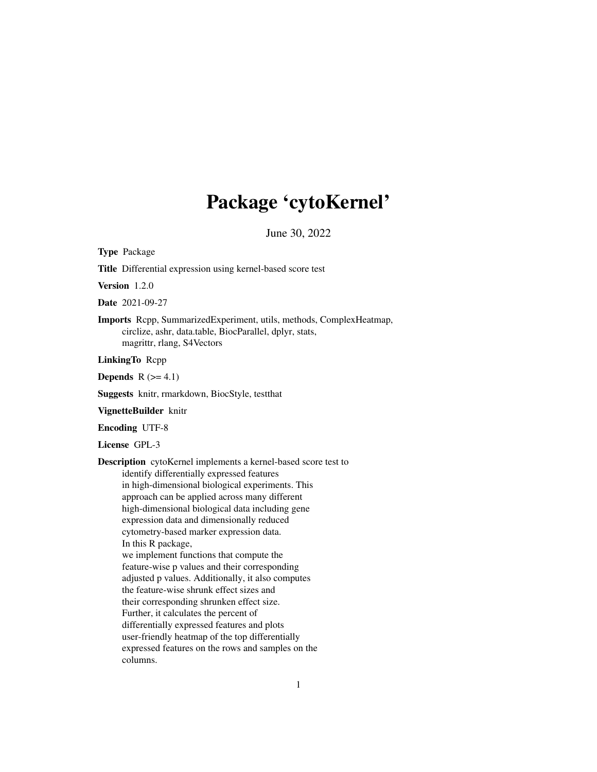# Package 'cytoKernel'

June 30, 2022

Type Package

Title Differential expression using kernel-based score test

Version 1.2.0

Date 2021-09-27

Imports Rcpp, SummarizedExperiment, utils, methods, ComplexHeatmap, circlize, ashr, data.table, BiocParallel, dplyr, stats, magrittr, rlang, S4Vectors

LinkingTo Rcpp

Depends  $R$  ( $>= 4.1$ )

Suggests knitr, rmarkdown, BiocStyle, testthat

VignetteBuilder knitr

Encoding UTF-8

License GPL-3

Description cytoKernel implements a kernel-based score test to identify differentially expressed features in high-dimensional biological experiments. This approach can be applied across many different high-dimensional biological data including gene expression data and dimensionally reduced cytometry-based marker expression data. In this R package, we implement functions that compute the feature-wise p values and their corresponding adjusted p values. Additionally, it also computes the feature-wise shrunk effect sizes and their corresponding shrunken effect size. Further, it calculates the percent of differentially expressed features and plots user-friendly heatmap of the top differentially expressed features on the rows and samples on the columns.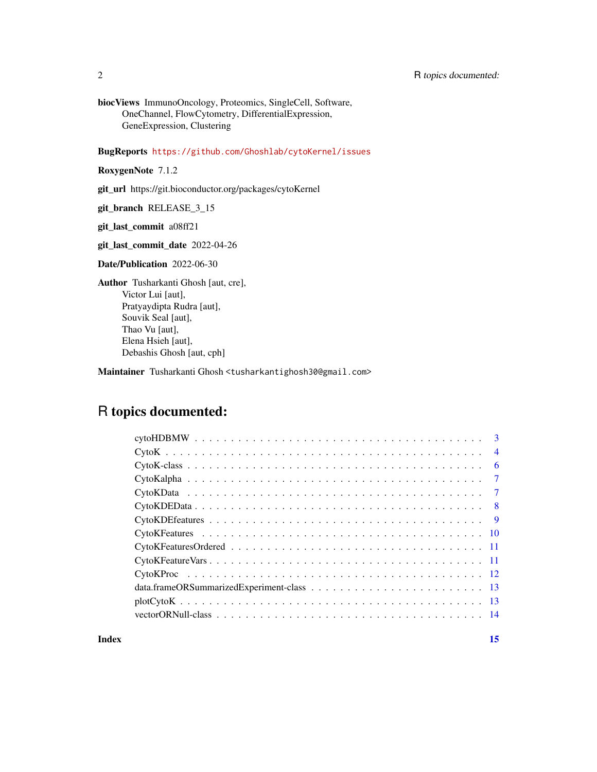biocViews ImmunoOncology, Proteomics, SingleCell, Software, OneChannel, FlowCytometry, DifferentialExpression, GeneExpression, Clustering

BugReports <https://github.com/Ghoshlab/cytoKernel/issues>

RoxygenNote 7.1.2

git\_url https://git.bioconductor.org/packages/cytoKernel

git\_branch RELEASE\_3\_15

git\_last\_commit a08ff21

git\_last\_commit\_date 2022-04-26

Date/Publication 2022-06-30

Author Tusharkanti Ghosh [aut, cre], Victor Lui [aut], Pratyaydipta Rudra [aut], Souvik Seal [aut], Thao Vu [aut], Elena Hsieh [aut], Debashis Ghosh [aut, cph]

Maintainer Tusharkanti Ghosh <tusharkantighosh30@gmail.com>

# R topics documented:

| $\overline{4}$ |  |
|----------------|--|
| - 6            |  |
| $\tau$         |  |
| $\tau$         |  |
|                |  |
|                |  |
|                |  |
|                |  |
|                |  |
|                |  |
|                |  |
|                |  |
|                |  |
|                |  |

#### **Index** [15](#page-14-0)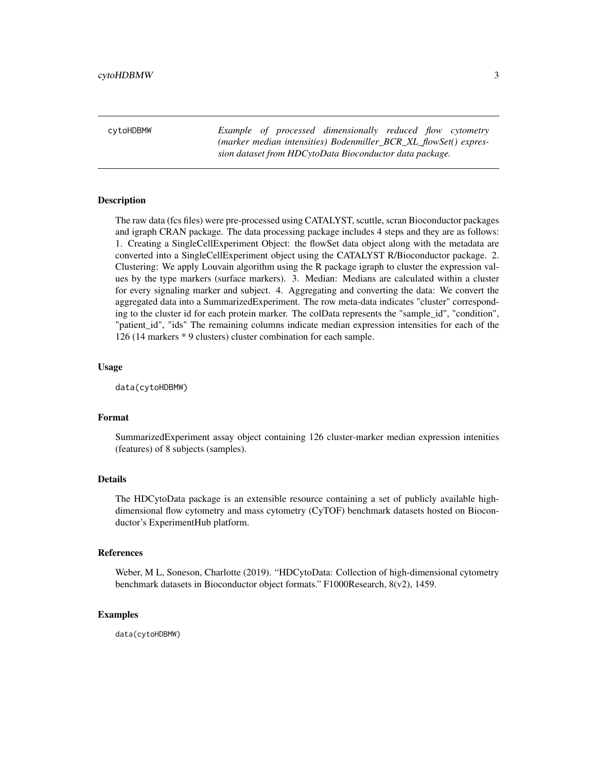<span id="page-2-0"></span>cytoHDBMW *Example of processed dimensionally reduced flow cytometry (marker median intensities) Bodenmiller\_BCR\_XL\_flowSet() expression dataset from HDCytoData Bioconductor data package.*

#### Description

The raw data (fcs files) were pre-processed using CATALYST, scuttle, scran Bioconductor packages and igraph CRAN package. The data processing package includes 4 steps and they are as follows: 1. Creating a SingleCellExperiment Object: the flowSet data object along with the metadata are converted into a SingleCellExperiment object using the CATALYST R/Bioconductor package. 2. Clustering: We apply Louvain algorithm using the R package igraph to cluster the expression values by the type markers (surface markers). 3. Median: Medians are calculated within a cluster for every signaling marker and subject. 4. Aggregating and converting the data: We convert the aggregated data into a SummarizedExperiment. The row meta-data indicates "cluster" corresponding to the cluster id for each protein marker. The colData represents the "sample id", "condition", "patient\_id", "ids" The remaining columns indicate median expression intensities for each of the 126 (14 markers \* 9 clusters) cluster combination for each sample.

#### Usage

data(cytoHDBMW)

### Format

SummarizedExperiment assay object containing 126 cluster-marker median expression intenities (features) of 8 subjects (samples).

## Details

The HDCytoData package is an extensible resource containing a set of publicly available highdimensional flow cytometry and mass cytometry (CyTOF) benchmark datasets hosted on Bioconductor's ExperimentHub platform.

#### References

Weber, M L, Soneson, Charlotte (2019). "HDCytoData: Collection of high-dimensional cytometry benchmark datasets in Bioconductor object formats." F1000Research, 8(v2), 1459.

#### Examples

data(cytoHDBMW)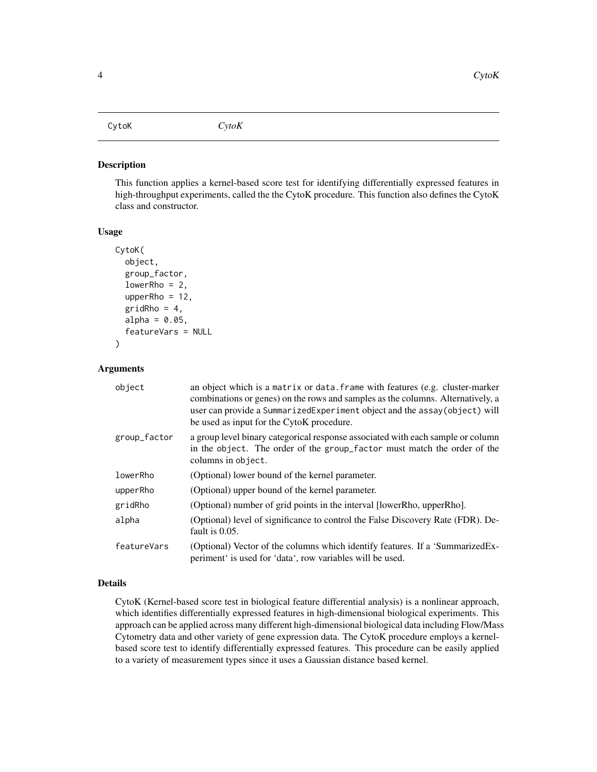<span id="page-3-0"></span>CytoK *CytoK*

#### Description

This function applies a kernel-based score test for identifying differentially expressed features in high-throughput experiments, called the the CytoK procedure. This function also defines the CytoK class and constructor.

#### Usage

```
CytoK(
  object,
  group_factor,
  lowerRho = 2,upperRho = 12,
  gridRho = 4,
  alpha = 0.05,
  featureVars = NULL
)
```
# Arguments

| object       | an object which is a matrix or data. frame with features (e.g. cluster-marker<br>combinations or genes) on the rows and samples as the columns. Alternatively, a<br>user can provide a SummarizedExperiment object and the assay (object) will<br>be used as input for the CytoK procedure. |
|--------------|---------------------------------------------------------------------------------------------------------------------------------------------------------------------------------------------------------------------------------------------------------------------------------------------|
| group_factor | a group level binary categorical response associated with each sample or column<br>in the object. The order of the group_factor must match the order of the<br>columns in object.                                                                                                           |
| lowerRho     | (Optional) lower bound of the kernel parameter.                                                                                                                                                                                                                                             |
| upperRho     | (Optional) upper bound of the kernel parameter.                                                                                                                                                                                                                                             |
| gridRho      | (Optional) number of grid points in the interval [lowerRho, upperRho].                                                                                                                                                                                                                      |
| alpha        | (Optional) level of significance to control the False Discovery Rate (FDR). De-<br>fault is $0.05$ .                                                                                                                                                                                        |
| featureVars  | (Optional) Vector of the columns which identify features. If a 'SummarizedEx-<br>periment is used for 'data', row variables will be used.                                                                                                                                                   |

# Details

CytoK (Kernel-based score test in biological feature differential analysis) is a nonlinear approach, which identifies differentially expressed features in high-dimensional biological experiments. This approach can be applied across many different high-dimensional biological data including Flow/Mass Cytometry data and other variety of gene expression data. The CytoK procedure employs a kernelbased score test to identify differentially expressed features. This procedure can be easily applied to a variety of measurement types since it uses a Gaussian distance based kernel.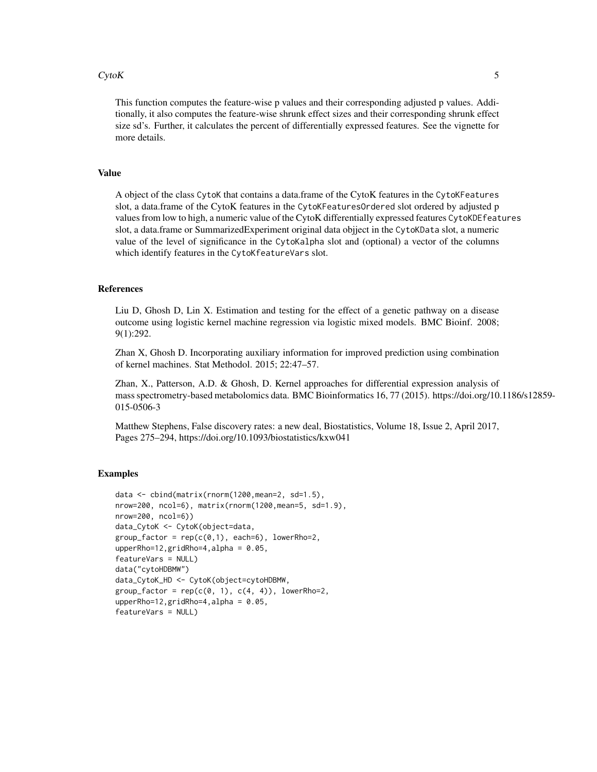#### $CytoK$  5

This function computes the feature-wise p values and their corresponding adjusted p values. Additionally, it also computes the feature-wise shrunk effect sizes and their corresponding shrunk effect size sd's. Further, it calculates the percent of differentially expressed features. See the vignette for more details.

### Value

A object of the class CytoK that contains a data.frame of the CytoK features in the CytoKFeatures slot, a data.frame of the CytoK features in the CytoKFeaturesOrdered slot ordered by adjusted p values from low to high, a numeric value of the CytoK differentially expressed features CytoKDEfeatures slot, a data.frame or SummarizedExperiment original data objject in the CytoKData slot, a numeric value of the level of significance in the CytoKalpha slot and (optional) a vector of the columns which identify features in the CytoKfeatureVars slot.

# References

Liu D, Ghosh D, Lin X. Estimation and testing for the effect of a genetic pathway on a disease outcome using logistic kernel machine regression via logistic mixed models. BMC Bioinf. 2008; 9(1):292.

Zhan X, Ghosh D. Incorporating auxiliary information for improved prediction using combination of kernel machines. Stat Methodol. 2015; 22:47–57.

Zhan, X., Patterson, A.D. & Ghosh, D. Kernel approaches for differential expression analysis of mass spectrometry-based metabolomics data. BMC Bioinformatics 16, 77 (2015). https://doi.org/10.1186/s12859- 015-0506-3

Matthew Stephens, False discovery rates: a new deal, Biostatistics, Volume 18, Issue 2, April 2017, Pages 275–294, https://doi.org/10.1093/biostatistics/kxw041

#### Examples

```
data <- cbind(matrix(rnorm(1200,mean=2, sd=1.5),
nrow=200, ncol=6), matrix(rnorm(1200,mean=5, sd=1.9),
nrow=200, ncol=6))
data_CytoK <- CytoK(object=data,
group_factor = rep(c(0,1), each=6), lowerRho=2,upperRho=12,gridRho=4,alpha = 0.05,
featureVars = NULL)
data("cytoHDBMW")
data_CytoK_HD <- CytoK(object=cytoHDBMW,
group_factor = rep(c(0, 1), c(4, 4)), lowerRho=2,upperRho=12, gridRho=4, alpha = 0.05,featureVars = NULL)
```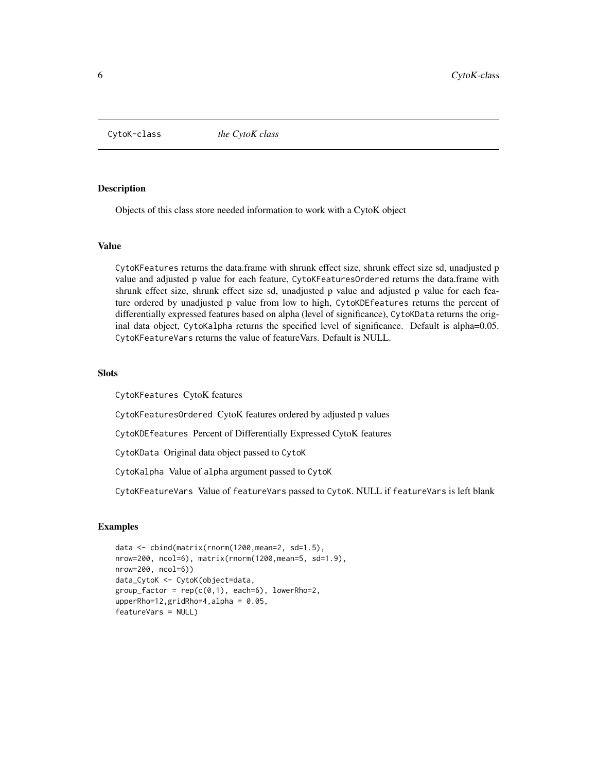<span id="page-5-0"></span>CytoK-class *the CytoK class*

# **Description**

Objects of this class store needed information to work with a CytoK object

#### Value

CytoKFeatures returns the data.frame with shrunk effect size, shrunk effect size sd, unadjusted p value and adjusted p value for each feature, CytoKFeaturesOrdered returns the data.frame with shrunk effect size, shrunk effect size sd, unadjusted p value and adjusted p value for each feature ordered by unadjusted p value from low to high, CytoKDEfeatures returns the percent of differentially expressed features based on alpha (level of significance), CytoKData returns the original data object, CytoKalpha returns the specified level of significance. Default is alpha=0.05. CytoKFeatureVars returns the value of featureVars. Default is NULL.

#### **Slots**

CytoKFeatures CytoK features

CytoKFeaturesOrdered CytoK features ordered by adjusted p values

CytoKDEfeatures Percent of Differentially Expressed CytoK features

CytoKData Original data object passed to CytoK

CytoKalpha Value of alpha argument passed to CytoK

CytoKFeatureVars Value of featureVars passed to CytoK. NULL if featureVars is left blank

#### Examples

```
data <- cbind(matrix(rnorm(1200,mean=2, sd=1.5),
nrow=200, ncol=6), matrix(rnorm(1200,mean=5, sd=1.9),
nrow=200, ncol=6))
data_CytoK <- CytoK(object=data,
group_factor = rep(c(0,1), each=6), lowerRho=2,upperRho=12,gridRho=4,alpha = 0.05,
featureVars = NULL)
```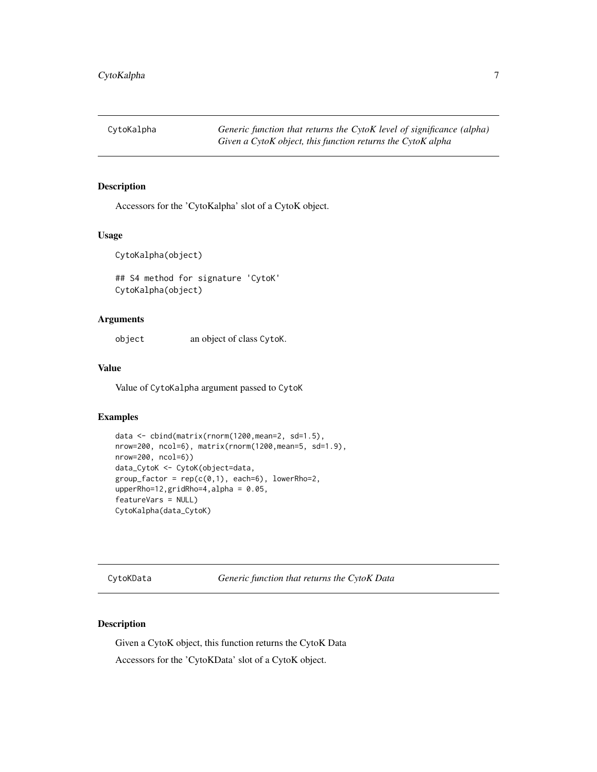<span id="page-6-0"></span>

# Description

Accessors for the 'CytoKalpha' slot of a CytoK object.

# Usage

CytoKalpha(object)

## S4 method for signature 'CytoK' CytoKalpha(object)

#### Arguments

object an object of class CytoK.

#### Value

Value of CytoKalpha argument passed to CytoK

### Examples

```
data <- cbind(matrix(rnorm(1200,mean=2, sd=1.5),
nrow=200, ncol=6), matrix(rnorm(1200,mean=5, sd=1.9),
nrow=200, ncol=6))
data_CytoK <- CytoK(object=data,
group_factor = rep(c(0,1), each=6), lowerRho=2,upperRho=12,gridRho=4,alpha = 0.05,
featureVars = NULL)
CytoKalpha(data_CytoK)
```
CytoKData *Generic function that returns the CytoK Data*

#### Description

Given a CytoK object, this function returns the CytoK Data Accessors for the 'CytoKData' slot of a CytoK object.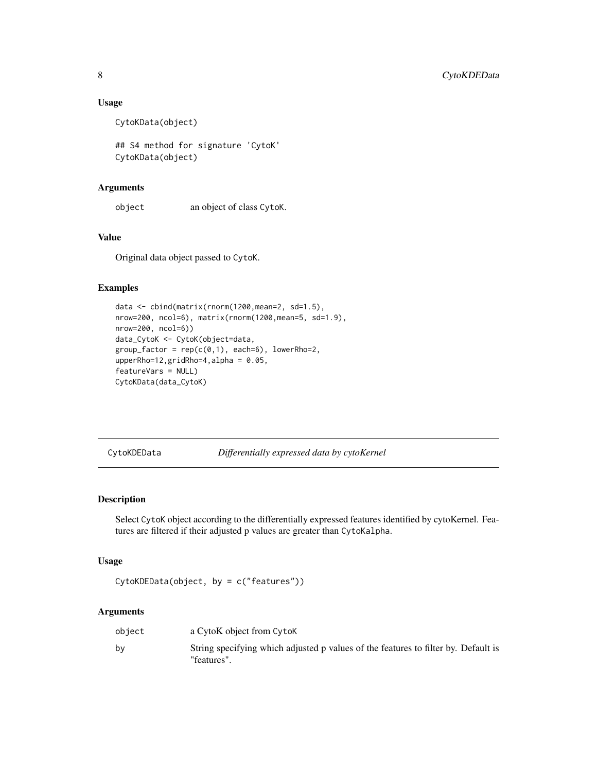#### Usage

CytoKData(object)

## S4 method for signature 'CytoK' CytoKData(object)

# Arguments

object an object of class CytoK.

# Value

Original data object passed to CytoK.

#### Examples

```
data <- cbind(matrix(rnorm(1200,mean=2, sd=1.5),
nrow=200, ncol=6), matrix(rnorm(1200,mean=5, sd=1.9),
nrow=200, ncol=6))
data_CytoK <- CytoK(object=data,
group_factor = rep(c(0,1), each=6), lowerRho=2,upperRho=12,gridRho=4,alpha = 0.05,
featureVars = NULL)
CytoKData(data_CytoK)
```
CytoKDEData *Differentially expressed data by cytoKernel*

# Description

Select CytoK object according to the differentially expressed features identified by cytoKernel. Features are filtered if their adjusted p values are greater than CytoKalpha.

#### Usage

```
CytoKDEData(object, by = c("features"))
```
# Arguments

| object | a CytoK object from CytoK                                                                         |
|--------|---------------------------------------------------------------------------------------------------|
| bv     | String specifying which adjusted p values of the features to filter by. Default is<br>"features". |

<span id="page-7-0"></span>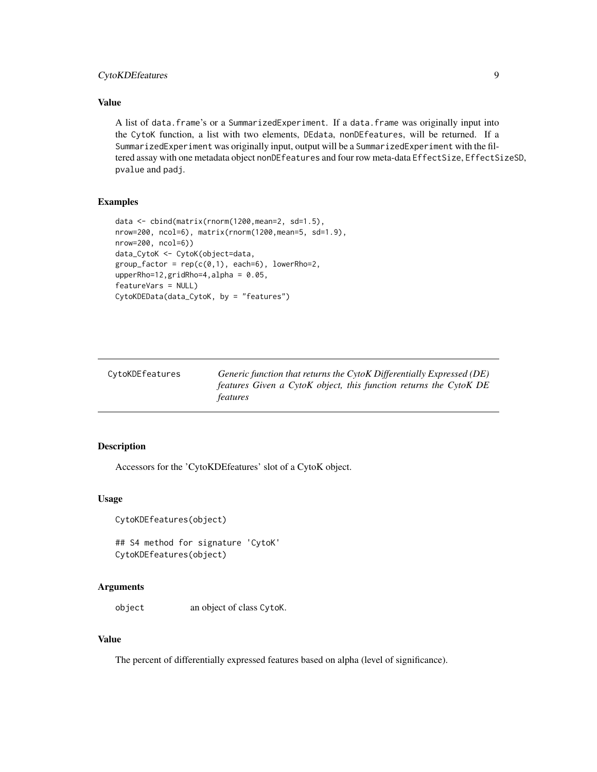# <span id="page-8-0"></span>CytoKDEfeatures 9

### Value

A list of data.frame's or a SummarizedExperiment. If a data.frame was originally input into the CytoK function, a list with two elements, DEdata, nonDEfeatures, will be returned. If a SummarizedExperiment was originally input, output will be a SummarizedExperiment with the filtered assay with one metadata object nonDEfeatures and four row meta-data EffectSize, EffectSizeSD, pvalue and padj.

#### Examples

```
data <- cbind(matrix(rnorm(1200,mean=2, sd=1.5),
nrow=200, ncol=6), matrix(rnorm(1200,mean=5, sd=1.9),
nrow=200, ncol=6))
data_CytoK <- CytoK(object=data,
group_factor = rep(c(0,1), each=6), lowerRho=2,upperRho=12, gridRho=4, alpha = 0.05,featureVars = NULL)
CytoKDEData(data_CytoK, by = "features")
```

| CytoKDEfeatures | Generic function that returns the $C$ ytoK Differentially Expressed (DE) |
|-----------------|--------------------------------------------------------------------------|
|                 | features Given a CytoK object, this function returns the CytoK DE        |
|                 | <i>features</i>                                                          |

# Description

Accessors for the 'CytoKDEfeatures' slot of a CytoK object.

#### Usage

```
CytoKDEfeatures(object)
```

```
## S4 method for signature 'CytoK'
CytoKDEfeatures(object)
```
#### Arguments

object an object of class CytoK.

# Value

The percent of differentially expressed features based on alpha (level of significance).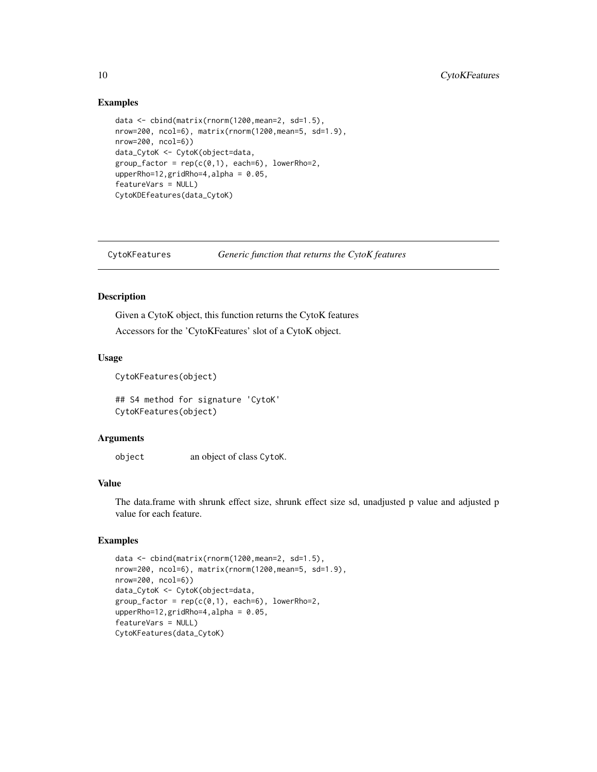#### Examples

```
data <- cbind(matrix(rnorm(1200,mean=2, sd=1.5),
nrow=200, ncol=6), matrix(rnorm(1200,mean=5, sd=1.9),
nrow=200, ncol=6))
data_CytoK <- CytoK(object=data,
group_factor = rep(c(0,1), each=6), lowerRho=2,upperRho=12,gridRho=4,alpha = 0.05,
featureVars = NULL)
CytoKDEfeatures(data_CytoK)
```
CytoKFeatures *Generic function that returns the CytoK features*

# Description

Given a CytoK object, this function returns the CytoK features

Accessors for the 'CytoKFeatures' slot of a CytoK object.

#### Usage

CytoKFeatures(object)

## S4 method for signature 'CytoK' CytoKFeatures(object)

#### Arguments

object an object of class CytoK.

#### Value

The data.frame with shrunk effect size, shrunk effect size sd, unadjusted p value and adjusted p value for each feature.

# Examples

```
data <- cbind(matrix(rnorm(1200,mean=2, sd=1.5),
nrow=200, ncol=6), matrix(rnorm(1200,mean=5, sd=1.9),
nrow=200, ncol=6))
data_CytoK <- CytoK(object=data,
group_factor = rep(c(0,1), each=6), lowerRho=2,upperRho=12,gridRho=4,alpha = 0.05,
featureVars = NULL)
CytoKFeatures(data_CytoK)
```
<span id="page-9-0"></span>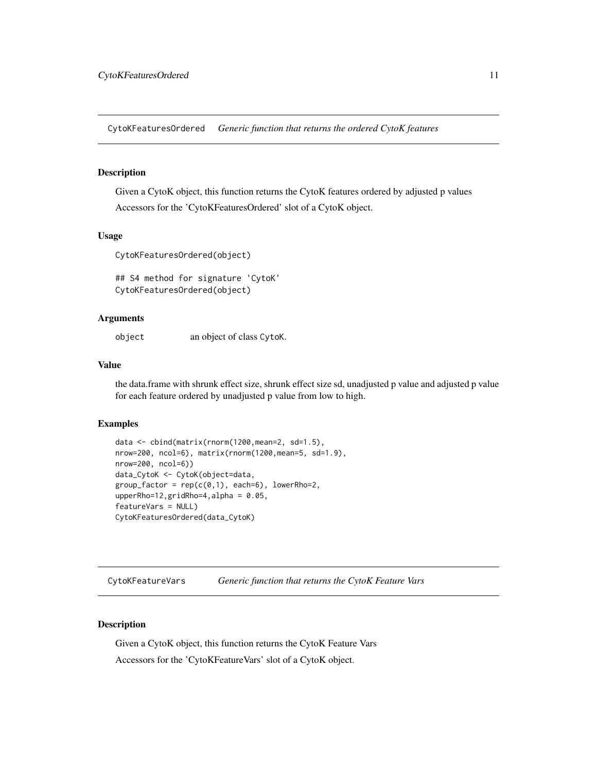<span id="page-10-0"></span>CytoKFeaturesOrdered *Generic function that returns the ordered CytoK features*

#### Description

Given a CytoK object, this function returns the CytoK features ordered by adjusted p values

Accessors for the 'CytoKFeaturesOrdered' slot of a CytoK object.

#### Usage

CytoKFeaturesOrdered(object)

## S4 method for signature 'CytoK' CytoKFeaturesOrdered(object)

#### Arguments

object an object of class CytoK.

#### Value

the data.frame with shrunk effect size, shrunk effect size sd, unadjusted p value and adjusted p value for each feature ordered by unadjusted p value from low to high.

#### Examples

```
data <- cbind(matrix(rnorm(1200,mean=2, sd=1.5),
nrow=200, ncol=6), matrix(rnorm(1200,mean=5, sd=1.9),
nrow=200, ncol=6))
data_CytoK <- CytoK(object=data,
group_factor = rep(c(0,1), each=6), lowerRho=2,upperRho=12,gridRho=4,alpha = 0.05,
featureVars = NULL)
CytoKFeaturesOrdered(data_CytoK)
```
CytoKFeatureVars *Generic function that returns the CytoK Feature Vars*

#### Description

Given a CytoK object, this function returns the CytoK Feature Vars Accessors for the 'CytoKFeatureVars' slot of a CytoK object.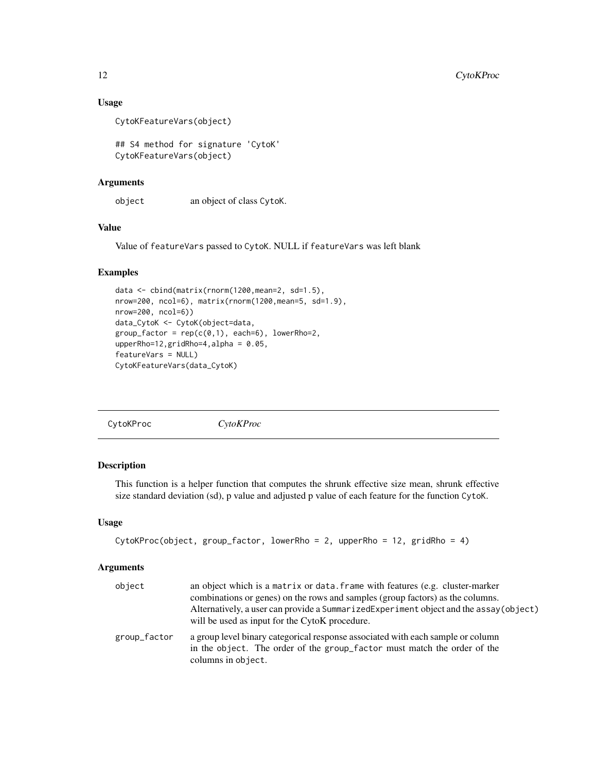# Usage

```
CytoKFeatureVars(object)
```
## S4 method for signature 'CytoK' CytoKFeatureVars(object)

# Arguments

object an object of class CytoK.

# Value

Value of featureVars passed to CytoK. NULL if featureVars was left blank

# Examples

```
data <- cbind(matrix(rnorm(1200,mean=2, sd=1.5),
nrow=200, ncol=6), matrix(rnorm(1200,mean=5, sd=1.9),
nrow=200, ncol=6))
data_CytoK <- CytoK(object=data,
group_factor = rep(c(0,1), each=6), lowerRho=2,upperRho=12,gridRho=4,alpha = 0.05,
featureVars = NULL)
CytoKFeatureVars(data_CytoK)
```

```
CytoKProc CytoKProc
```
# Description

This function is a helper function that computes the shrunk effective size mean, shrunk effective size standard deviation (sd), p value and adjusted p value of each feature for the function CytoK.

#### Usage

```
CytoKProc(object, group_factor, lowerRho = 2, upperRho = 12, gridRho = 4)
```
#### Arguments

| object       | an object which is a matrix or data. frame with features (e.g. cluster-marker<br>combinations or genes) on the rows and samples (group factors) as the columns.<br>Alternatively, a user can provide a Summarized Experiment object and the assay (object)<br>will be used as input for the CytoK procedure. |
|--------------|--------------------------------------------------------------------------------------------------------------------------------------------------------------------------------------------------------------------------------------------------------------------------------------------------------------|
| group_factor | a group level binary categorical response associated with each sample or column<br>in the object. The order of the group_factor must match the order of the<br>columns in object.                                                                                                                            |

<span id="page-11-0"></span>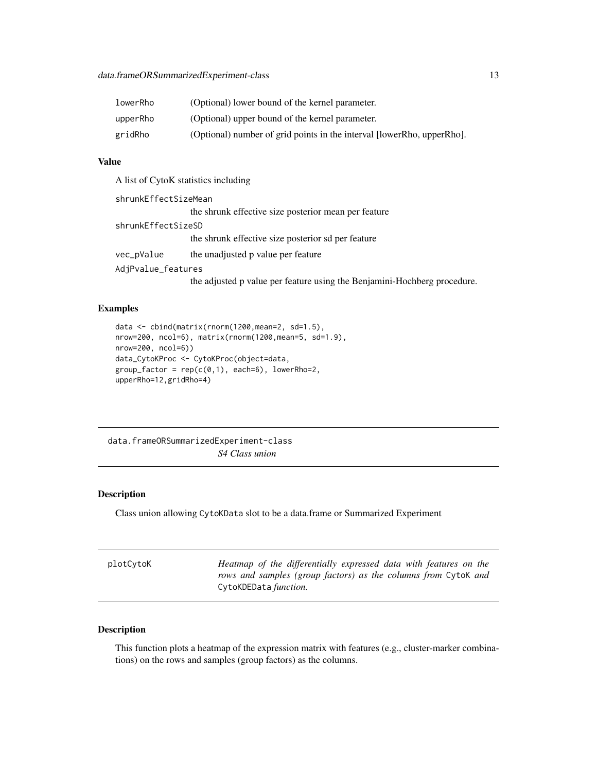<span id="page-12-0"></span>

| lowerRho | (Optional) lower bound of the kernel parameter.                        |
|----------|------------------------------------------------------------------------|
| upperRho | (Optional) upper bound of the kernel parameter.                        |
| gridRho  | (Optional) number of grid points in the interval [lowerRho, upperRho]. |

# Value

A list of CytoK statistics including

| shrunkEffectSizeMean |                                                                          |
|----------------------|--------------------------------------------------------------------------|
|                      | the shrunk effective size posterior mean per feature                     |
| shrunkEffectSizeSD   |                                                                          |
|                      | the shrunk effective size posterior sd per feature                       |
| vec_pValue           | the unadjusted p value per feature                                       |
| AdjPvalue_features   |                                                                          |
|                      | the adjusted p value per feature using the Benjamini-Hochberg procedure. |

#### Examples

```
data <- cbind(matrix(rnorm(1200,mean=2, sd=1.5),
nrow=200, ncol=6), matrix(rnorm(1200,mean=5, sd=1.9),
nrow=200, ncol=6))
data_CytoKProc <- CytoKProc(object=data,
group_factor = rep(c(\emptyset,1), each=6), lowerRho=2,upperRho=12,gridRho=4)
```
data.frameORSummarizedExperiment-class *S4 Class union*

# Description

Class union allowing CytoKData slot to be a data.frame or Summarized Experiment

| CytoKDEData <i>function</i> . | plotCytoK | Heatmap of the differentially expressed data with features on the<br>rows and samples (group factors) as the columns from CytoK and |
|-------------------------------|-----------|-------------------------------------------------------------------------------------------------------------------------------------|
|-------------------------------|-----------|-------------------------------------------------------------------------------------------------------------------------------------|

#### Description

This function plots a heatmap of the expression matrix with features (e.g., cluster-marker combinations) on the rows and samples (group factors) as the columns.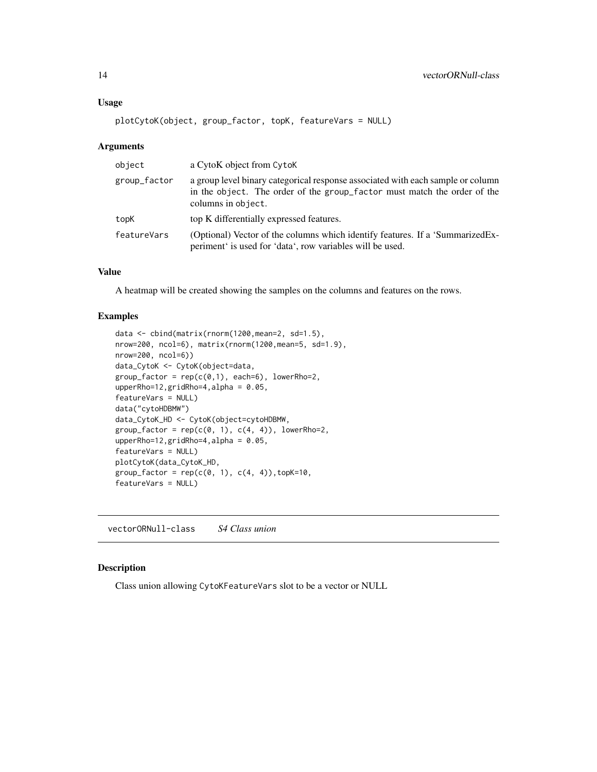# <span id="page-13-0"></span>Usage

```
plotCytoK(object, group_factor, topK, featureVars = NULL)
```
#### Arguments

| object       | a CytoK object from CytoK                                                                                                                                                         |
|--------------|-----------------------------------------------------------------------------------------------------------------------------------------------------------------------------------|
| group_factor | a group level binary categorical response associated with each sample or column<br>in the object. The order of the group_factor must match the order of the<br>columns in object. |
| topK         | top K differentially expressed features.                                                                                                                                          |
| featureVars  | (Optional) Vector of the columns which identify features. If a 'SummarizedEx-<br>periment is used for 'data', row variables will be used.                                         |

# Value

A heatmap will be created showing the samples on the columns and features on the rows.

# Examples

```
data <- cbind(matrix(rnorm(1200,mean=2, sd=1.5),
nrow=200, ncol=6), matrix(rnorm(1200,mean=5, sd=1.9),
nrow=200, ncol=6))
data_CytoK <- CytoK(object=data,
group_factor = rep(c(0,1), each=6), lowerRho=2,upperRho=12,gridRho=4,alpha = 0.05,
featureVars = NULL)
data("cytoHDBMW")
data_CytoK_HD <- CytoK(object=cytoHDBMW,
group_factor = rep(c(0, 1), c(4, 4)), lowerRho=2,
upperRho=12,gridRho=4,alpha = 0.05,
featureVars = NULL)
plotCytoK(data_CytoK_HD,
group_factor = rep(c(0, 1), c(4, 4)), topK=10,featureVars = NULL)
```
vectorORNull-class *S4 Class union*

# Description

Class union allowing CytoKFeatureVars slot to be a vector or NULL